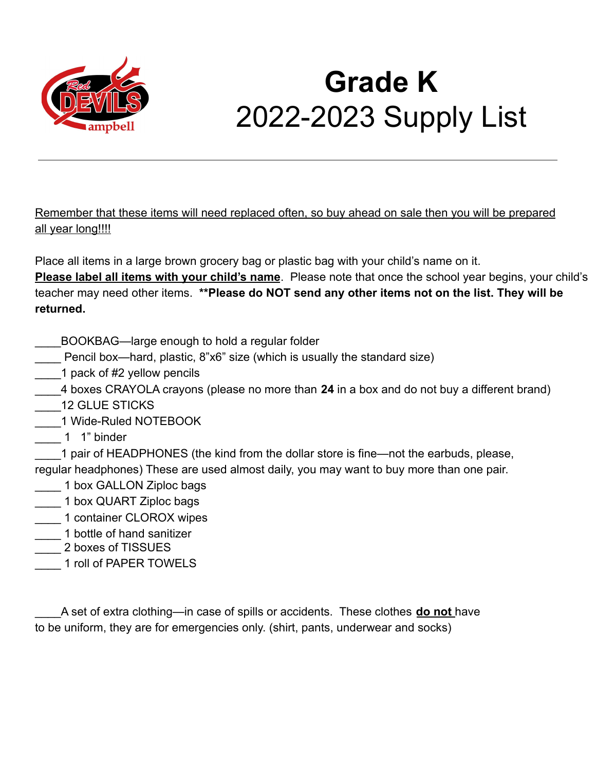

### **Grade K** 2022-2023 Supply List

Remember that these items will need replaced often, so buy ahead on sale then you will be prepared all year long!!!!

Place all items in a large brown grocery bag or plastic bag with your child's name on it.

**Please label all items with your child's name**. Please note that once the school year begins, your child's teacher may need other items. **\*\*Please do NOT send any other items not on the list. They will be returned.**

- \_\_\_\_BOOKBAG—large enough to hold a regular folder
- Pencil box—hard, plastic, 8"x6" size (which is usually the standard size)
- 1 pack of #2 yellow pencils
- \_\_\_\_4 boxes CRAYOLA crayons (please no more than **24** in a box and do not buy a different brand)
- \_\_\_\_12 GLUE STICKS
- \_\_\_\_1 Wide-Ruled NOTEBOOK
- \_\_\_\_ 1 1" binder

1 pair of HEADPHONES (the kind from the dollar store is fine—not the earbuds, please, regular headphones) These are used almost daily, you may want to buy more than one pair.

- 1 box GALLON Ziploc bags
- \_\_\_\_ 1 box QUART Ziploc bags
- \_\_\_\_ 1 container CLOROX wipes
- 1 bottle of hand sanitizer
- \_\_\_\_ 2 boxes of TISSUES
- \_\_\_\_ 1 roll of PAPER TOWELS

A set of extra clothing—in case of spills or accidents. These clothes **do not** have to be uniform, they are for emergencies only. (shirt, pants, underwear and socks)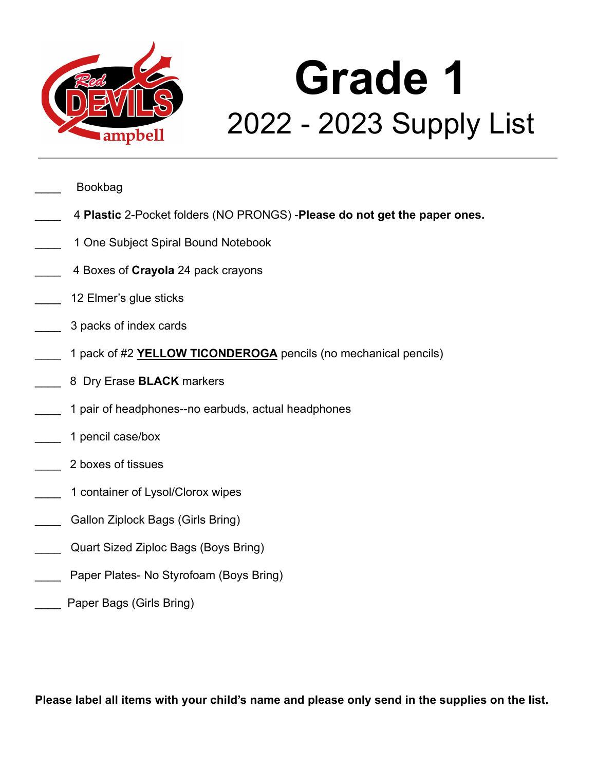

# **Grade 1** 2022 - 2023 Supply List

\_\_\_\_ Bookbag

- \_\_\_\_ 4 **Plastic** 2-Pocket folders (NO PRONGS) -**Please do not get the paper ones.**
- 1 One Subject Spiral Bound Notebook
- \_\_\_\_ 4 Boxes of **Crayola** 24 pack crayons
- 12 Elmer's glue sticks
- \_\_\_\_ 3 packs of index cards
- \_\_\_\_ 1 pack of #2 **YELLOW TICONDEROGA** pencils (no mechanical pencils)
- \_\_\_\_ 8 Dry Erase **BLACK** markers
- 1 pair of headphones--no earbuds, actual headphones
- \_\_\_\_ 1 pencil case/box
- \_\_\_\_ 2 boxes of tissues
- 1 container of Lysol/Clorox wipes
- Gallon Ziplock Bags (Girls Bring)
- Quart Sized Ziploc Bags (Boys Bring)
- Paper Plates- No Styrofoam (Boys Bring)
- Paper Bags (Girls Bring)

**Please label all items with your child's name and please only send in the supplies on the list.**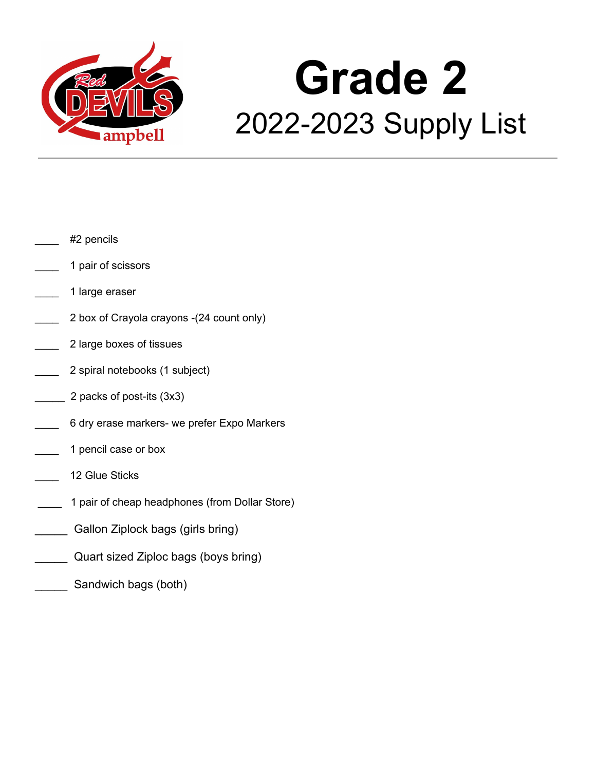

# **Grade 2** 2022-2023 Supply List

- #2 pencils
- \_\_\_\_ 1 pair of scissors
- \_\_\_\_ 1 large eraser
- 2 box of Crayola crayons -(24 count only)
- \_\_\_\_ 2 large boxes of tissues
- 2 spiral notebooks (1 subject)
- \_\_\_\_\_ 2 packs of post-its (3x3)
- 6 dry erase markers- we prefer Expo Markers
- 1 pencil case or box
- 12 Glue Sticks
- 1 pair of cheap headphones (from Dollar Store)
- Gallon Ziplock bags (girls bring)
- Quart sized Ziploc bags (boys bring)
- Sandwich bags (both)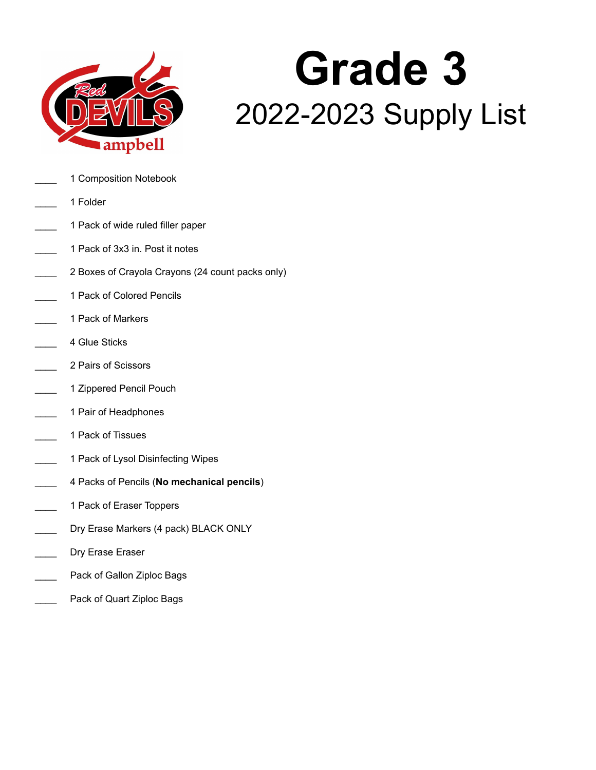

# **Grade 3** 2022-2023 Supply List

- 1 Composition Notebook
- \_\_\_\_ 1 Folder
- 1 Pack of wide ruled filler paper
- \_\_\_\_ 1 Pack of 3x3 in. Post it notes
- 2 Boxes of Crayola Crayons (24 count packs only)
- 1 Pack of Colored Pencils
- \_\_\_\_ 1 Pack of Markers
- 4 Glue Sticks
- \_\_\_\_ 2 Pairs of Scissors
- 1 Zippered Pencil Pouch
- 1 Pair of Headphones
- \_\_\_\_ 1 Pack of Tissues
- 1 Pack of Lysol Disinfecting Wipes
- \_\_\_\_ 4 Packs of Pencils (**No mechanical pencils**)
- 1 Pack of Eraser Toppers
- Dry Erase Markers (4 pack) BLACK ONLY
- Dry Erase Eraser
- Pack of Gallon Ziploc Bags
- Pack of Quart Ziploc Bags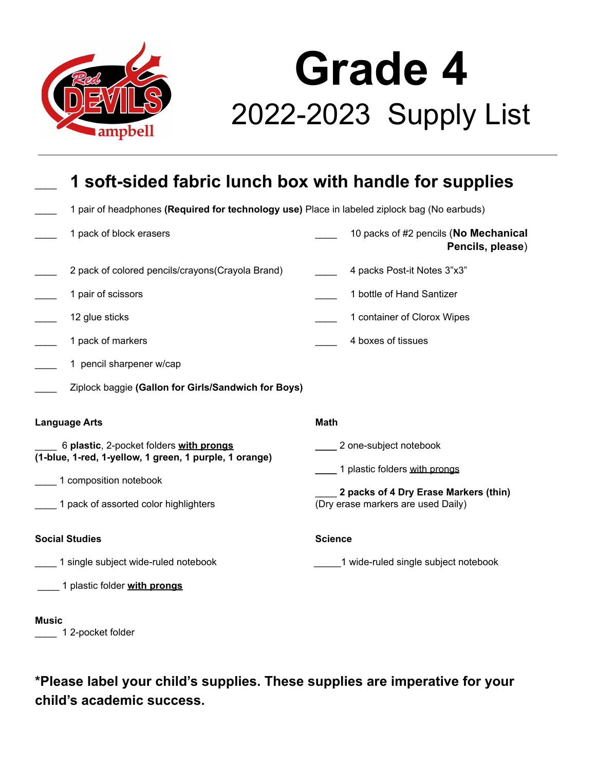

## **Grade 4** 2022-2023 Supply List

| 1 soft-sided fabric lunch box with handle for supplies                                            |                                                                             |
|---------------------------------------------------------------------------------------------------|-----------------------------------------------------------------------------|
| 1 pair of headphones (Required for technology use) Place in labeled ziplock bag (No earbuds)      |                                                                             |
| 1 pack of block erasers                                                                           | 10 packs of #2 pencils (No Mechanical<br>Pencils, please)                   |
| 2 pack of colored pencils/crayons(Crayola Brand)                                                  | 4 packs Post-it Notes 3"x3"                                                 |
| 1 pair of scissors                                                                                | 1 bottle of Hand Santizer                                                   |
| 12 glue sticks                                                                                    | 1 container of Clorox Wipes                                                 |
| 1 pack of markers                                                                                 | 4 boxes of tissues                                                          |
| 1 pencil sharpener w/cap                                                                          |                                                                             |
| Ziplock baggie (Gallon for Girls/Sandwich for Boys)                                               |                                                                             |
| <b>Language Arts</b>                                                                              | <b>Math</b>                                                                 |
| 6 plastic, 2-pocket folders with prongs<br>(1-blue, 1-red, 1-yellow, 1 green, 1 purple, 1 orange) | __ 2 one-subject notebook                                                   |
| 1 composition notebook                                                                            | 1 plastic folders with prongs                                               |
| 1 pack of assorted color highlighters                                                             | 2 packs of 4 Dry Erase Markers (thin)<br>(Dry erase markers are used Daily) |
| <b>Social Studies</b>                                                                             | <b>Science</b>                                                              |
| 1 single subject wide-ruled notebook                                                              | 1 wide-ruled single subject notebook                                        |
| 1 plastic folder with prongs                                                                      |                                                                             |
| Music                                                                                             |                                                                             |

1 2-pocket folder

**\*Please label your child's supplies. These supplies are imperative for your child's academic success.**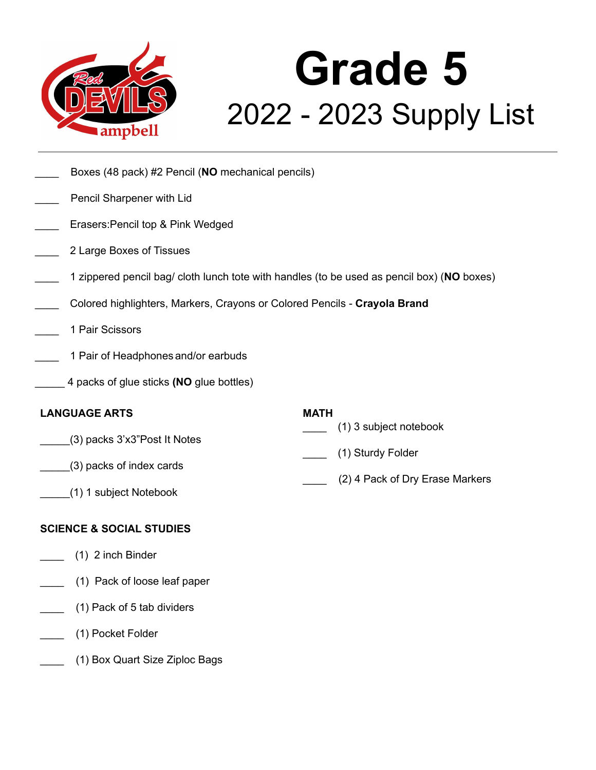

# **Grade 5** 2022 - 2023 Supply List

- \_\_\_\_ Boxes (48 pack) #2 Pencil (**NO** mechanical pencils)
- Pencil Sharpener with Lid
- Erasers: Pencil top & Pink Wedged
- \_\_\_\_ 2 Large Boxes of Tissues
- \_\_\_\_ 1 zippered pencil bag/ cloth lunch tote with handles (to be used as pencil box) (**NO** boxes)
- \_\_\_\_ Colored highlighters, Markers, Crayons or Colored Pencils **Crayola Brand**
- \_\_\_\_ 1 Pair Scissors
- 1 Pair of Headphones and/or earbuds
- \_\_\_\_\_ 4 packs of glue sticks **(NO** glue bottles)

#### **LANGUAGE ARTS**

- \_\_\_\_\_(3) packs 3'x3"Post It Notes
- \_\_\_\_\_(3) packs of index cards
- **MATH**
	- \_\_\_\_ (1) 3 subject notebook
- \_\_\_\_ (1) Sturdy Folder
- \_\_\_\_ (2) 4 Pack of Dry Erase Markers

\_\_\_\_\_(1) 1 subject Notebook

#### **SCIENCE & SOCIAL STUDIES**

- \_\_\_\_ (1) 2 inch Binder
- \_\_\_\_ (1) Pack of loose leaf paper
- \_\_\_\_ (1) Pack of 5 tab dividers
- \_\_\_\_ (1) Pocket Folder
- \_\_\_\_ (1) Box Quart Size Ziploc Bags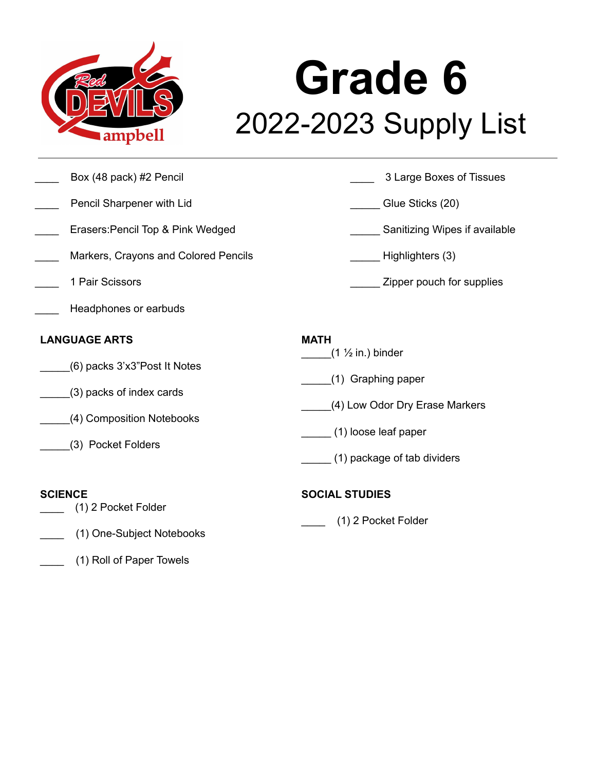

## **Grade 6** 2022-2023 Supply List

- 
- Pencil Sharpener with Lid Glue Sticks (20)
- 
- Markers, Crayons and Colored Pencils **Example 20** Highlighters (3)
- 
- Headphones or earbuds

#### **LANGUAGE ARTS**

- \_\_\_\_\_(6) packs 3'x3"Post It Notes
- \_\_\_\_\_(3) packs of index cards
- \_\_\_\_\_(4) Composition Notebooks
- \_\_\_\_\_(3) Pocket Folders

#### **SCIENCE**

- \_\_\_\_ (1) 2 Pocket Folder
- \_\_\_\_ (1) One-Subject Notebooks
- \_\_\_\_ (1) Roll of Paper Towels
- Box (48 pack) #2 Pencil 2 Decision 1 2 Decision 3 Large Boxes of Tissues
	-
- Erasers:Pencil Top & Pink Wedged **Erasers:Pencil Top & Pink Wedged** Sanitizing Wipes if available
	-
- 1 Pair Scissors **and Scissors** 2 and 2 and 2 and 2 and 2 and 2 and 2 and 2 and 2 and 2 and 2 and 2 and 2 and 2 and 2 and 2 and 2 and 2 and 2 and 2 and 2 and 2 and 2 and 2 and 2 and 2 and 2 and 2 and 2 and 2 and 2 and 2 and

#### **MATH**

- $(1 \frac{1}{2}$  in.) binder
- \_\_\_\_\_(1) Graphing paper
- \_\_\_\_\_(4) Low Odor Dry Erase Markers
- \_\_\_\_\_ (1) loose leaf paper
- \_\_\_\_\_ (1) package of tab dividers

#### **SOCIAL STUDIES**

\_\_\_\_ (1) 2 Pocket Folder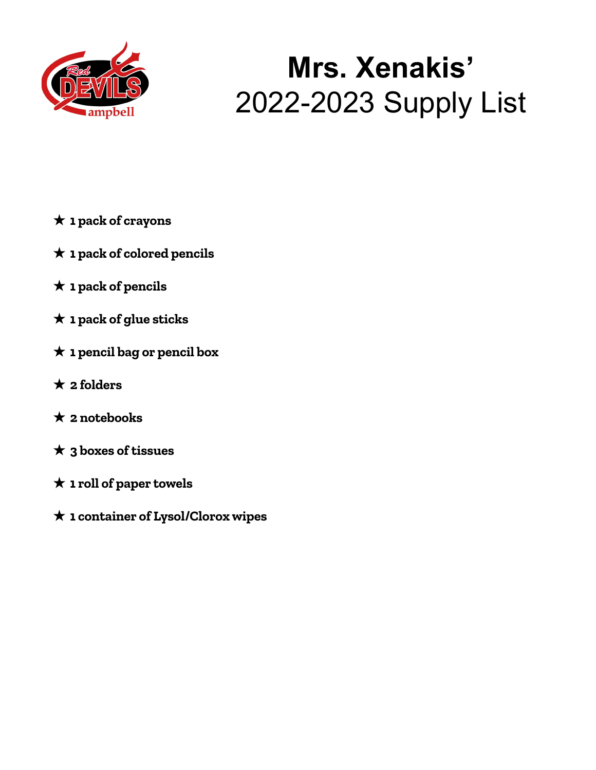

### **Mrs. Xenakis'** 2022-2023 Supply List

- ★ **1 pack of crayons**
- ★ **1 pack of colored pencils**
- ★ **1 pack of pencils**
- ★ **1 pack of glue sticks**
- ★ **1 pencil bag or pencil box**
- ★ **2 folders**
- ★ **2 notebooks**
- ★ **3 boxes of tissues**
- ★ **1 roll of paper towels**
- ★ **1 container of Lysol/Clorox wipes**